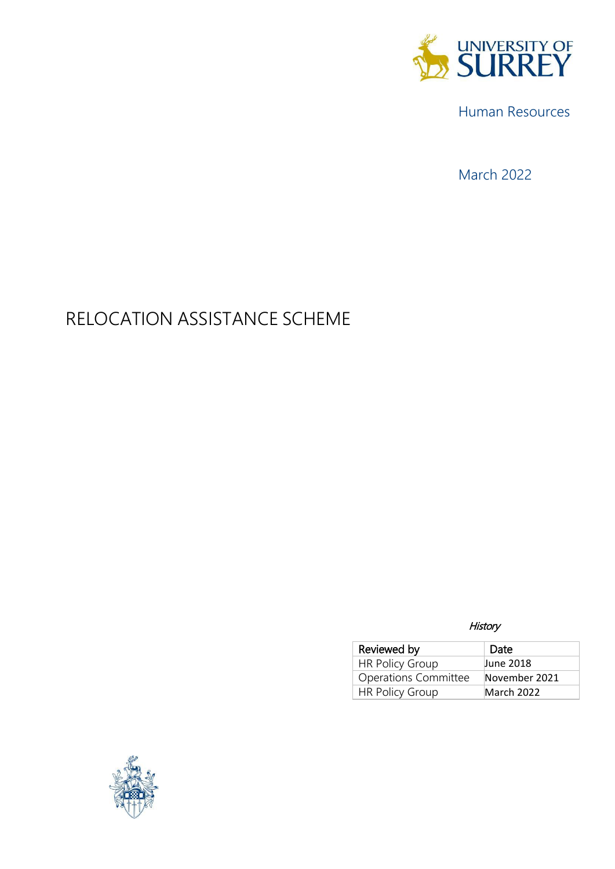

Human Resources

March 2022

# RELOCATION ASSISTANCE SCHEME

**History** 

| Reviewed by                 | Date          |
|-----------------------------|---------------|
| <b>HR Policy Group</b>      | June 2018     |
| <b>Operations Committee</b> | November 2021 |
| <b>HR Policy Group</b>      | March 2022    |

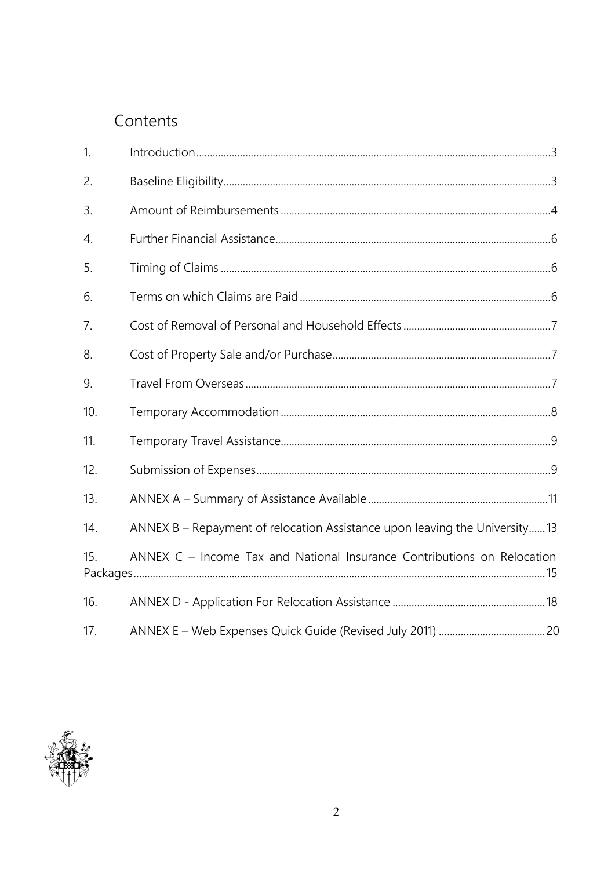## Contents

| 1.  |                                                                            |  |
|-----|----------------------------------------------------------------------------|--|
| 2.  |                                                                            |  |
| 3.  |                                                                            |  |
| 4.  |                                                                            |  |
| 5.  |                                                                            |  |
| 6.  |                                                                            |  |
| 7.  |                                                                            |  |
| 8.  |                                                                            |  |
| 9.  |                                                                            |  |
| 10. |                                                                            |  |
| 11. |                                                                            |  |
| 12. |                                                                            |  |
| 13. |                                                                            |  |
| 14. | ANNEX B - Repayment of relocation Assistance upon leaving the University13 |  |
| 15. | ANNEX C - Income Tax and National Insurance Contributions on Relocation    |  |
| 16. |                                                                            |  |
| 17. |                                                                            |  |

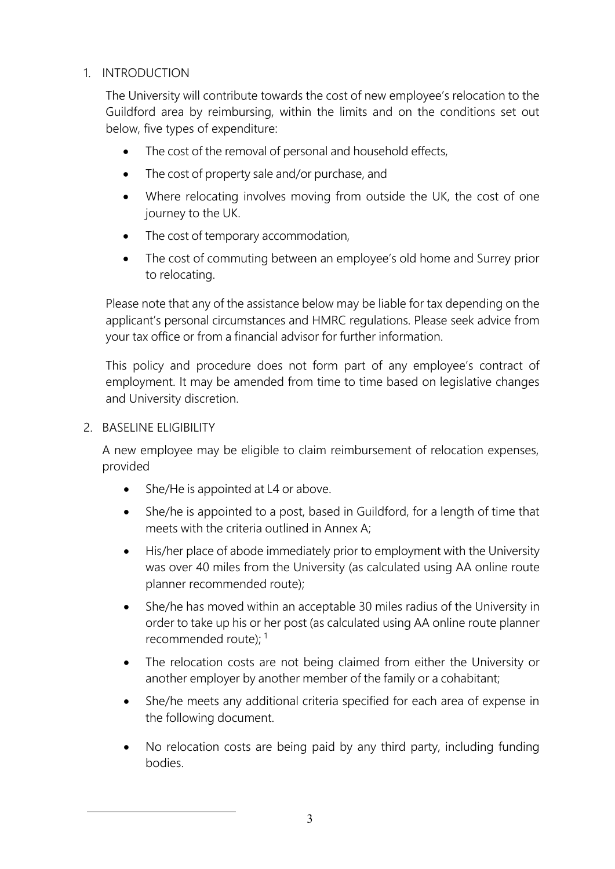## <span id="page-2-0"></span>1. INTRODUCTION

The University will contribute towards the cost of new employee's relocation to the Guildford area by reimbursing, within the limits and on the conditions set out below, five types of expenditure:

- The cost of the removal of personal and household effects,
- The cost of property sale and/or purchase, and
- Where relocating involves moving from outside the UK, the cost of one journey to the UK.
- The cost of temporary accommodation,
- The cost of commuting between an employee's old home and Surrey prior to relocating.

Please note that any of the assistance below may be liable for tax depending on the applicant's personal circumstances and HMRC regulations. Please seek advice from your tax office or from a financial advisor for further information.

This policy and procedure does not form part of any employee's contract of employment. It may be amended from time to time based on legislative changes and University discretion.

## <span id="page-2-1"></span>2. BASELINE ELIGIBILITY

A new employee may be eligible to claim reimbursement of relocation expenses, provided

- She/He is appointed at L4 or above.
- She/he is appointed to a post, based in Guildford, for a length of time that meets with the criteria outlined in Annex A;
- His/her place of abode immediately prior to employment with the University was over 40 miles from the University (as calculated using AA online route planner recommended route);
- She/he has moved within an acceptable 30 miles radius of the University in order to take up his or her post (as calculated using AA online route planner recommended route);  $1$
- The relocation costs are not being claimed from either the University or another employer by another member of the family or a cohabitant;
- She/he meets any additional criteria specified for each area of expense in the following document.
- No relocation costs are being paid by any third party, including funding bodies.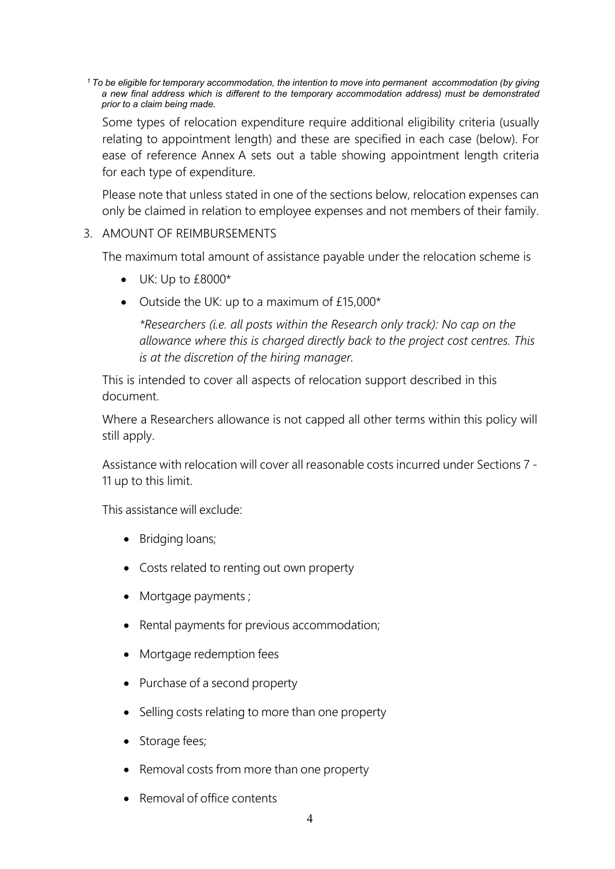*1 To be eligible for temporary accommodation, the intention to move into permanent accommodation (by giving a new final address which is different to the temporary accommodation address) must be demonstrated prior to a claim being made.*

Some types of relocation expenditure require additional eligibility criteria (usually relating to appointment length) and these are specified in each case (below). For ease of reference Annex A sets out a table showing appointment length criteria for each type of expenditure.

Please note that unless stated in one of the sections below, relocation expenses can only be claimed in relation to employee expenses and not members of their family.

#### <span id="page-3-0"></span>3. AMOUNT OF REIMBURSEMENTS

The maximum total amount of assistance payable under the relocation scheme is

- UK: Up to £8000\*
- Outside the UK: up to a maximum of £15,000\*

*\*Researchers (i.e. all posts within the Research only track): No cap on the allowance where this is charged directly back to the project cost centres. This is at the discretion of the hiring manager.*

This is intended to cover all aspects of relocation support described in this document.

Where a Researchers allowance is not capped all other terms within this policy will still apply.

Assistance with relocation will cover all reasonable costs incurred under Sections 7 - 11 up to this limit.

This assistance will exclude:

- Bridging loans;
- Costs related to renting out own property
- Mortgage payments ;
- Rental payments for previous accommodation;
- Mortgage redemption fees
- Purchase of a second property
- Selling costs relating to more than one property
- Storage fees;
- Removal costs from more than one property
- Removal of office contents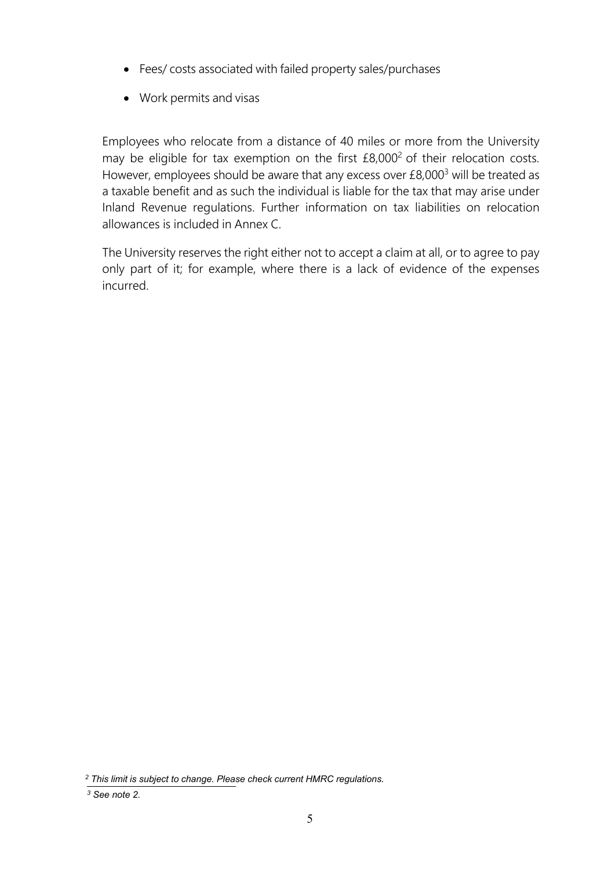- Fees/ costs associated with failed property sales/purchases
- Work permits and visas

Employees who relocate from a distance of 40 miles or more from the University may be eligible for tax exemption on the first  $£8,000<sup>2</sup>$  of their relocation costs. However, employees should be aware that any excess over £8,000<sup>3</sup> will be treated as a taxable benefit and as such the individual is liable for the tax that may arise under Inland Revenue regulations. Further information on tax liabilities on relocation allowances is included in Annex C.

The University reserves the right either not to accept a claim at all, or to agree to pay only part of it; for example, where there is a lack of evidence of the expenses incurred.

<span id="page-4-0"></span>*<sup>2</sup> This limit is subject to change. Please check current HMRC regulations.*

*<sup>3</sup> See note 2.*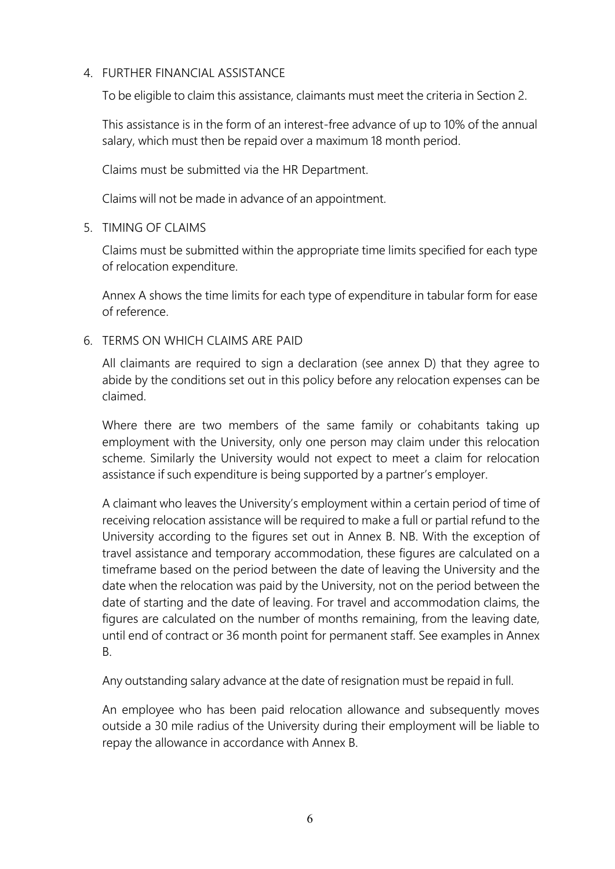## 4. FURTHER FINANCIAL ASSISTANCE

To be eligible to claim this assistance, claimants must meet the criteria in Section 2.

This assistance is in the form of an interest-free advance of up to 10% of the annual salary, which must then be repaid over a maximum 18 month period.

Claims must be submitted via the HR Department.

Claims will not be made in advance of an appointment.

<span id="page-5-0"></span>5. TIMING OF CLAIMS

Claims must be submitted within the appropriate time limits specified for each type of relocation expenditure.

Annex A shows the time limits for each type of expenditure in tabular form for ease of reference.

<span id="page-5-1"></span>6. TERMS ON WHICH CLAIMS ARE PAID

All claimants are required to sign a declaration (see annex D) that they agree to abide by the conditions set out in this policy before any relocation expenses can be claimed.

Where there are two members of the same family or cohabitants taking up employment with the University, only one person may claim under this relocation scheme. Similarly the University would not expect to meet a claim for relocation assistance if such expenditure is being supported by a partner's employer.

A claimant who leaves the University's employment within a certain period of time of receiving relocation assistance will be required to make a full or partial refund to the University according to the figures set out in Annex B. NB. With the exception of travel assistance and temporary accommodation, these figures are calculated on a timeframe based on the period between the date of leaving the University and the date when the relocation was paid by the University, not on the period between the date of starting and the date of leaving. For travel and accommodation claims, the figures are calculated on the number of months remaining, from the leaving date, until end of contract or 36 month point for permanent staff. See examples in Annex B.

Any outstanding salary advance at the date of resignation must be repaid in full.

An employee who has been paid relocation allowance and subsequently moves outside a 30 mile radius of the University during their employment will be liable to repay the allowance in accordance with Annex B.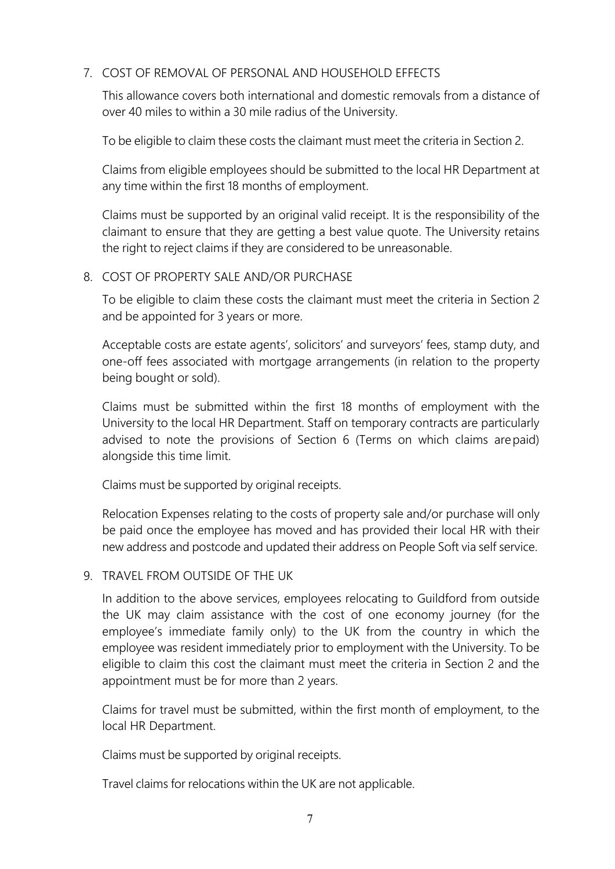## <span id="page-6-0"></span>7. COST OF REMOVAL OF PERSONAL AND HOUSEHOLD EFFECTS

This allowance covers both international and domestic removals from a distance of over 40 miles to within a 30 mile radius of the University.

To be eligible to claim these costs the claimant must meet the criteria in Section 2.

Claims from eligible employees should be submitted to the local HR Department at any time within the first 18 months of employment.

Claims must be supported by an original valid receipt. It is the responsibility of the claimant to ensure that they are getting a best value quote. The University retains the right to reject claims if they are considered to be unreasonable.

## <span id="page-6-1"></span>8. COST OF PROPERTY SALE AND/OR PURCHASE

To be eligible to claim these costs the claimant must meet the criteria in Section 2 and be appointed for 3 years or more.

Acceptable costs are estate agents', solicitors' and surveyors' fees, stamp duty, and one-off fees associated with mortgage arrangements (in relation to the property being bought or sold).

Claims must be submitted within the first 18 months of employment with the University to the local HR Department. Staff on temporary contracts are particularly advised to note the provisions of Section 6 (Terms on which claims arepaid) alongside this time limit.

Claims must be supported by original receipts.

Relocation Expenses relating to the costs of property sale and/or purchase will only be paid once the employee has moved and has provided their local HR with their new address and postcode and updated their address on People Soft via self service.

## <span id="page-6-2"></span>9. TRAVEL FROM OUTSIDE OF THE UK

In addition to the above services, employees relocating to Guildford from outside the UK may claim assistance with the cost of one economy journey (for the employee's immediate family only) to the UK from the country in which the employee was resident immediately prior to employment with the University. To be eligible to claim this cost the claimant must meet the criteria in Section 2 and the appointment must be for more than 2 years.

Claims for travel must be submitted, within the first month of employment, to the local HR Department.

Claims must be supported by original receipts.

Travel claims for relocations within the UK are not applicable.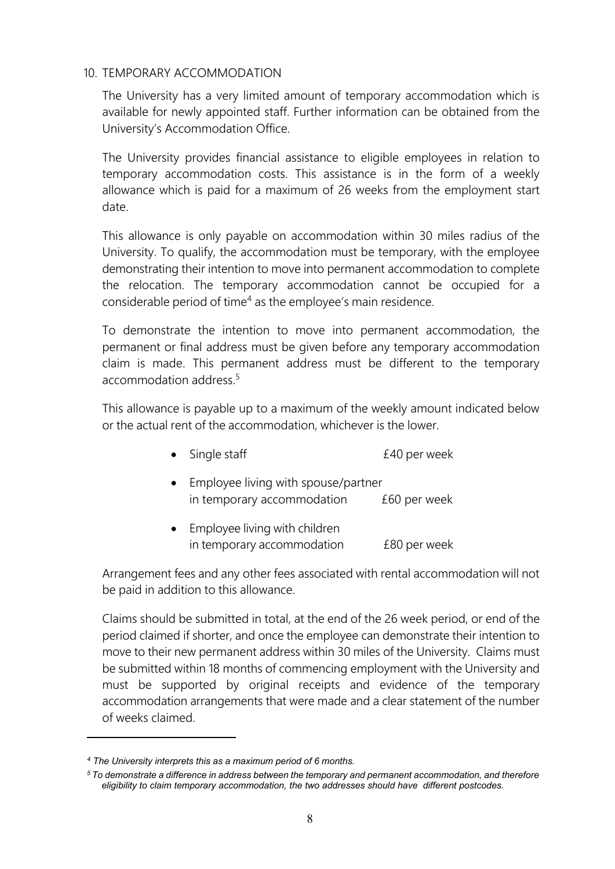#### <span id="page-7-0"></span>10. TEMPORARY ACCOMMODATION

The University has a very limited amount of temporary accommodation which is available for newly appointed staff. Further information can be obtained from the University's Accommodation Office.

The University provides financial assistance to eligible employees in relation to temporary accommodation costs. This assistance is in the form of a weekly allowance which is paid for a maximum of 26 weeks from the employment start date.

This allowance is only payable on accommodation within 30 miles radius of the University. To qualify, the accommodation must be temporary, with the employee demonstrating their intention to move into permanent accommodation to complete the relocation. The temporary accommodation cannot be occupied for a considerable period of time<sup>4</sup> as the employee's main residence.

To demonstrate the intention to move into permanent accommodation, the permanent or final address must be given before any temporary accommodation claim is made. This permanent address must be different to the temporary accommodation address.<sup>5</sup>

This allowance is payable up to a maximum of the weekly amount indicated below or the actual rent of the accommodation, whichever is the lower.

- Single staff **E40** per week
- Employee living with spouse/partner in temporary accommodation £60 per week
- Employee living with children in temporary accommodation E80 per week

Arrangement fees and any other fees associated with rental accommodation will not be paid in addition to this allowance.

Claims should be submitted in total, at the end of the 26 week period, or end of the period claimed if shorter, and once the employee can demonstrate their intention to move to their new permanent address within 30 miles of the University. Claims must be submitted within 18 months of commencing employment with the University and must be supported by original receipts and evidence of the temporary accommodation arrangements that were made and a clear statement of the number of weeks claimed.

*<sup>4</sup> The University interprets this as a maximum period of 6 months.*

*<sup>5</sup> To demonstrate a difference in address between the temporary and permanent accommodation, and therefore eligibility to claim temporary accommodation, the two addresses should have different postcodes.*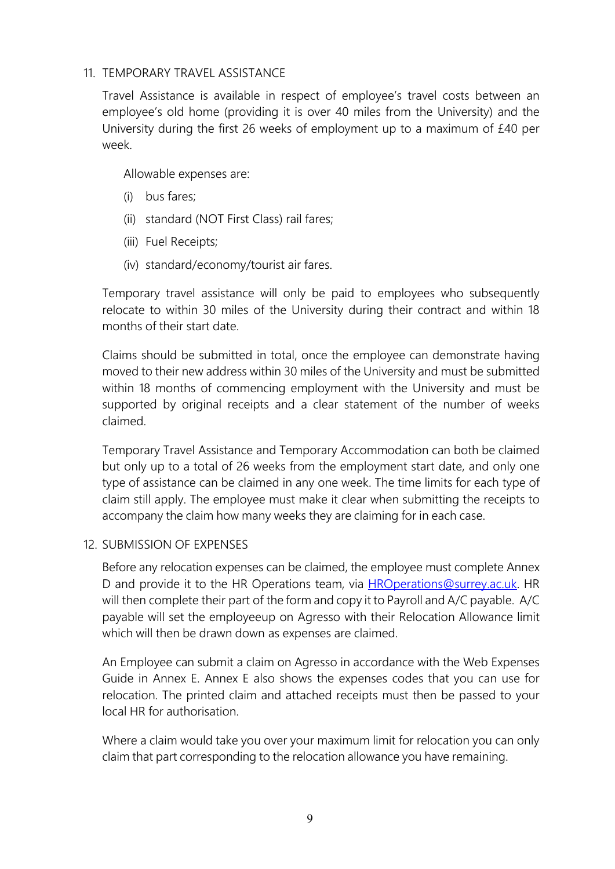#### <span id="page-8-0"></span>11. TEMPORARY TRAVEL ASSISTANCE

Travel Assistance is available in respect of employee's travel costs between an employee's old home (providing it is over 40 miles from the University) and the University during the first 26 weeks of employment up to a maximum of £40 per week.

Allowable expenses are:

- (i) bus fares;
- (ii) standard (NOT First Class) rail fares;
- (iii) Fuel Receipts;
- (iv) standard/economy/tourist air fares.

Temporary travel assistance will only be paid to employees who subsequently relocate to within 30 miles of the University during their contract and within 18 months of their start date.

Claims should be submitted in total, once the employee can demonstrate having moved to their new address within 30 miles of the University and must be submitted within 18 months of commencing employment with the University and must be supported by original receipts and a clear statement of the number of weeks claimed.

Temporary Travel Assistance and Temporary Accommodation can both be claimed but only up to a total of 26 weeks from the employment start date, and only one type of assistance can be claimed in any one week. The time limits for each type of claim still apply. The employee must make it clear when submitting the receipts to accompany the claim how many weeks they are claiming for in each case.

## <span id="page-8-1"></span>12. SUBMISSION OF EXPENSES

Before any relocation expenses can be claimed, the employee must complete Annex D and provide it to the HR Operations team, via [HROperations@surrey.ac.uk.](mailto:HROperations@surrey.ac.uk) HR will then complete their part of the form and copy it to Payroll and A/C payable. A/C payable will set the employeeup on Agresso with their Relocation Allowance limit which will then be drawn down as expenses are claimed.

An Employee can submit a claim on Agresso in accordance with the Web Expenses Guide in Annex E. Annex E also shows the expenses codes that you can use for relocation. The printed claim and attached receipts must then be passed to your local HR for authorisation.

Where a claim would take you over your maximum limit for relocation you can only claim that part corresponding to the relocation allowance you have remaining.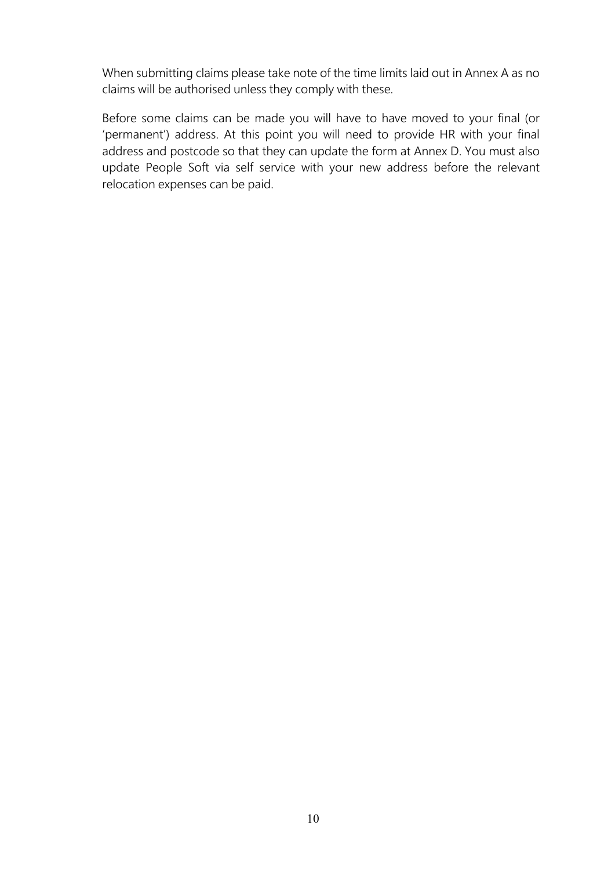When submitting claims please take note of the time limits laid out in Annex A as no claims will be authorised unless they comply with these.

Before some claims can be made you will have to have moved to your final (or 'permanent') address. At this point you will need to provide HR with your final address and postcode so that they can update the form at Annex D. You must also update People Soft via self service with your new address before the relevant relocation expenses can be paid.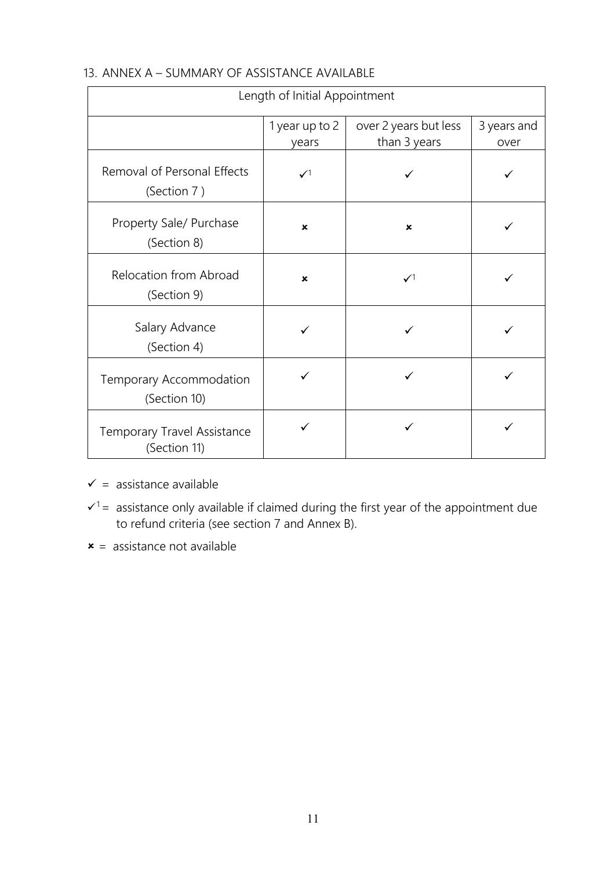| Length of Initial Appointment                      |                           |                                       |                     |
|----------------------------------------------------|---------------------------|---------------------------------------|---------------------|
|                                                    | 1 year up to 2<br>years   | over 2 years but less<br>than 3 years | 3 years and<br>over |
| Removal of Personal Effects<br>(Section 7)         | $\checkmark$              |                                       |                     |
| Property Sale/ Purchase<br>(Section 8)             | $\boldsymbol{\mathsf{x}}$ | $\boldsymbol{\mathsf{x}}$             | ✓                   |
| <b>Relocation from Abroad</b><br>(Section 9)       | ×                         | $\mathcal{N}^1$                       |                     |
| Salary Advance<br>(Section 4)                      |                           | ✓                                     |                     |
| Temporary Accommodation<br>(Section 10)            |                           |                                       |                     |
| <b>Temporary Travel Assistance</b><br>(Section 11) |                           |                                       |                     |

## <span id="page-10-0"></span>13. ANNEX A – SUMMARY OF ASSISTANCE AVAILABLE

- $\checkmark$  = assistance available
- $\mathbf{v}^1$  = assistance only available if claimed during the first year of the appointment due to refund criteria (see section 7 and Annex B).
- $x =$  assistance not available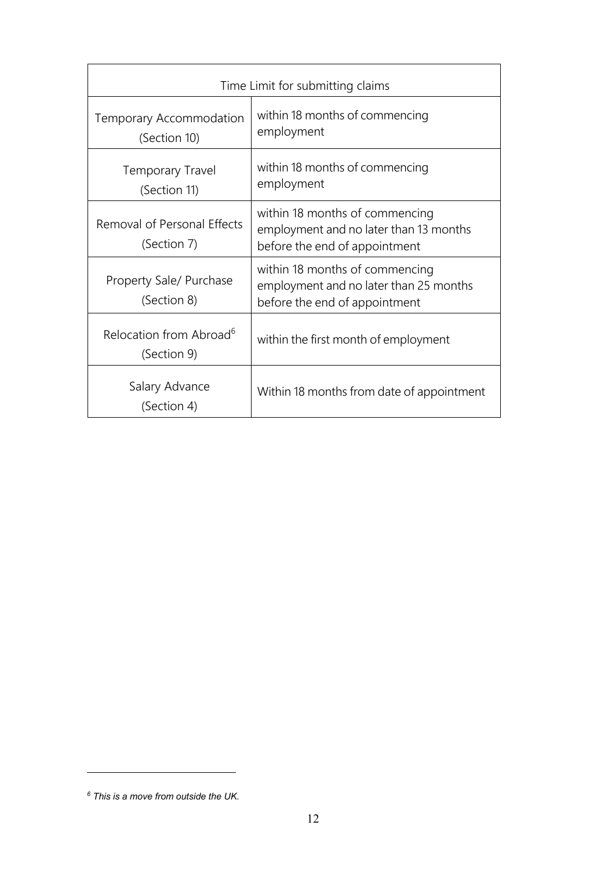| Time Limit for submitting claims                   |                                                                                                           |  |
|----------------------------------------------------|-----------------------------------------------------------------------------------------------------------|--|
| Temporary Accommodation<br>(Section 10)            | within 18 months of commencing<br>employment                                                              |  |
| <b>Temporary Travel</b><br>(Section 11)            | within 18 months of commencing<br>employment                                                              |  |
| Removal of Personal Effects<br>(Section 7)         | within 18 months of commencing<br>employment and no later than 13 months<br>before the end of appointment |  |
| Property Sale/ Purchase<br>(Section 8)             | within 18 months of commencing<br>employment and no later than 25 months<br>before the end of appointment |  |
| Relocation from Abroad <sup>6</sup><br>(Section 9) | within the first month of employment                                                                      |  |
| Salary Advance<br>(Section 4)                      | Within 18 months from date of appointment                                                                 |  |

*<sup>6</sup> This is a move from outside the UK.*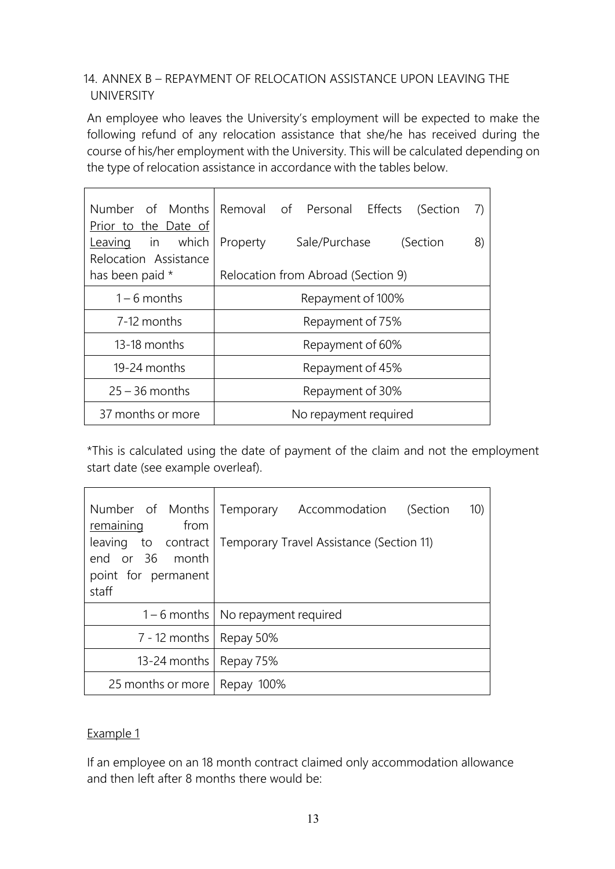## <span id="page-12-0"></span>14. ANNEX B – REPAYMENT OF RELOCATION ASSISTANCE UPON LEAVING THE UNIVERSITY

An employee who leaves the University's employment will be expected to make the following refund of any relocation assistance that she/he has received during the course of his/her employment with the University. This will be calculated depending on the type of relocation assistance in accordance with the tables below.

| Number of Months<br>Prior to the Date of  | Removal of Personal Effects (Section<br>7)  |  |  |  |
|-------------------------------------------|---------------------------------------------|--|--|--|
| Leaving in which<br>Relocation Assistance | Sale/Purchase<br>8)<br>Property<br>(Section |  |  |  |
| has been paid *                           | Relocation from Abroad (Section 9)          |  |  |  |
| $1 - 6$ months                            | Repayment of 100%                           |  |  |  |
| 7-12 months                               | Repayment of 75%                            |  |  |  |
| 13-18 months                              | Repayment of 60%                            |  |  |  |
| 19-24 months                              | Repayment of 45%                            |  |  |  |
| $25 - 36$ months                          | Repayment of 30%                            |  |  |  |
| 37 months or more                         | No repayment required                       |  |  |  |

\*This is calculated using the date of payment of the claim and not the employment start date (see example overleaf).

| Number of Months Temporary<br>from<br>remaining<br>leaving to contract<br>end or 36 month<br>point for permanent<br>staff | Accommodation (Section<br>10)<br>Temporary Travel Assistance (Section 11) |  |
|---------------------------------------------------------------------------------------------------------------------------|---------------------------------------------------------------------------|--|
|                                                                                                                           | 1 – 6 months   No repayment required                                      |  |
| 7 - 12 months   Repay 50%                                                                                                 |                                                                           |  |
| 13-24 months   Repay $75\%$                                                                                               |                                                                           |  |
| 25 months or more   Repay 100%                                                                                            |                                                                           |  |

## Example 1

If an employee on an 18 month contract claimed only accommodation allowance and then left after 8 months there would be: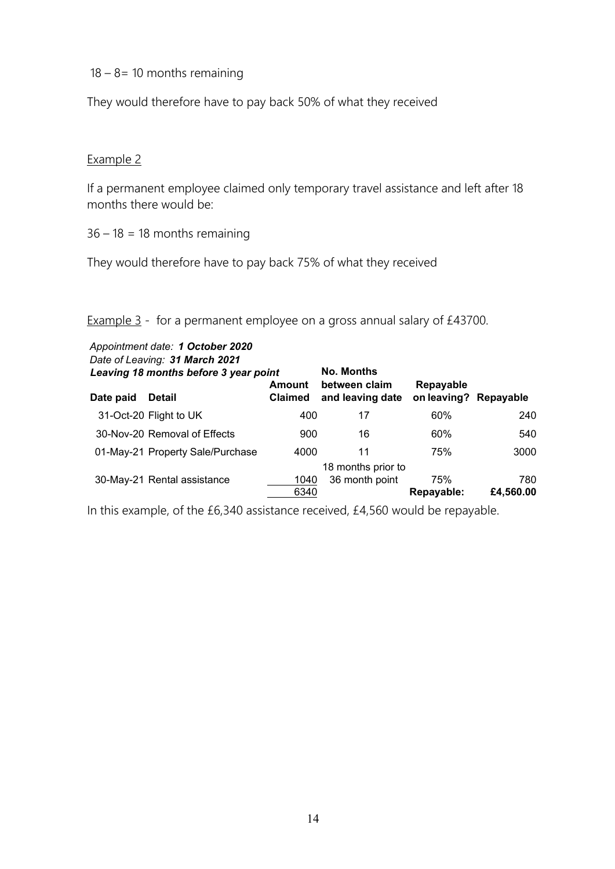$18 - 8 = 10$  months remaining

They would therefore have to pay back 50% of what they received

## Example 2

If a permanent employee claimed only temporary travel assistance and left after 18 months there would be:

 $36 - 18 = 18$  months remaining

They would therefore have to pay back 75% of what they received

## Example 3 - for a permanent employee on a gross annual salary of £43700.

| Date paid | Appointment date: 1 October 2020<br>Date of Leaving: 31 March 2021<br>Leaving 18 months before 3 year point<br><b>Detail</b> | <b>Amount</b><br><b>Claimed</b> | <b>No. Months</b><br>between claim<br>and leaving date | Repayable<br>on leaving? Repayable |                  |
|-----------|------------------------------------------------------------------------------------------------------------------------------|---------------------------------|--------------------------------------------------------|------------------------------------|------------------|
|           | 31-Oct-20 Flight to UK                                                                                                       | 400                             | 17                                                     | 60%                                | 240              |
|           | 30-Nov-20 Removal of Effects                                                                                                 | 900                             | 16                                                     | 60%                                | 540              |
|           | 01-May-21 Property Sale/Purchase                                                                                             | 4000                            | 11                                                     | 75%                                | 3000             |
|           | 30-May-21 Rental assistance                                                                                                  | 1040<br>6340                    | 18 months prior to<br>36 month point                   | 75%<br>Repayable:                  | 780<br>£4,560.00 |

In this example, of the £6,340 assistance received, £4,560 would be repayable.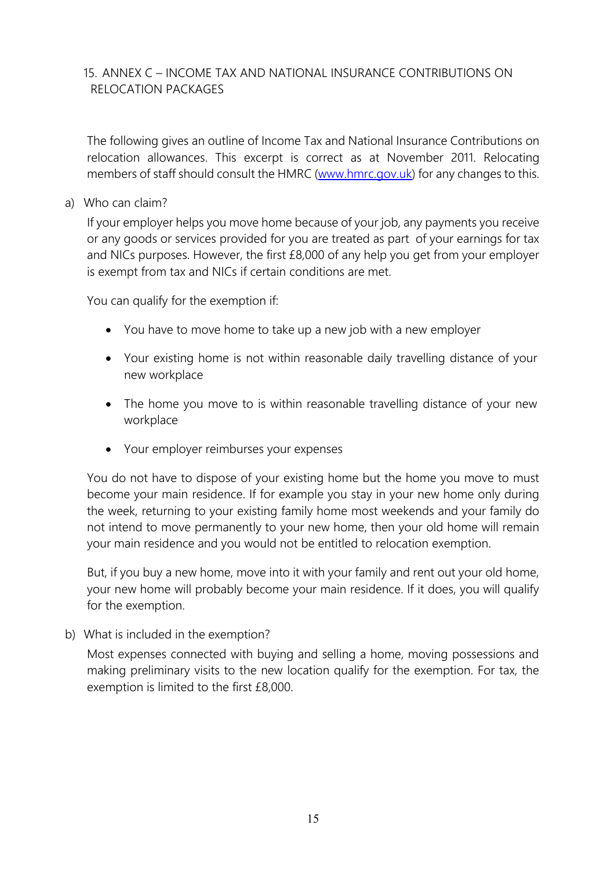## <span id="page-14-0"></span>15. ANNEX C – INCOME TAX AND NATIONAL INSURANCE CONTRIBUTIONS ON RELOCATION PACKAGES

The following gives an outline of Income Tax and National Insurance Contributions on relocation allowances. This excerpt is correct as at November 2011. Relocating members of staff should consult the HMRC [\(www.hmrc.gov.uk\)](http://www.hmrc.gov.uk/) for any changes to this.

a) Who can claim?

If your employer helps you move home because of your job, any payments you receive or any goods or services provided for you are treated as part of your earnings for tax and NICs purposes. However, the first £8,000 of any help you get from your employer is exempt from tax and NICs if certain conditions are met.

You can qualify for the exemption if:

- You have to move home to take up a new job with a new employer
- Your existing home is not within reasonable daily travelling distance of your new workplace
- The home you move to is within reasonable travelling distance of your new workplace
- Your employer reimburses your expenses

You do not have to dispose of your existing home but the home you move to must become your main residence. If for example you stay in your new home only during the week, returning to your existing family home most weekends and your family do not intend to move permanently to your new home, then your old home will remain your main residence and you would not be entitled to relocation exemption.

But, if you buy a new home, move into it with your family and rent out your old home, your new home will probably become your main residence. If it does, you will qualify for the exemption.

b) What is included in the exemption?

Most expenses connected with buying and selling a home, moving possessions and making preliminary visits to the new location qualify for the exemption. For tax, the exemption is limited to the first £8,000.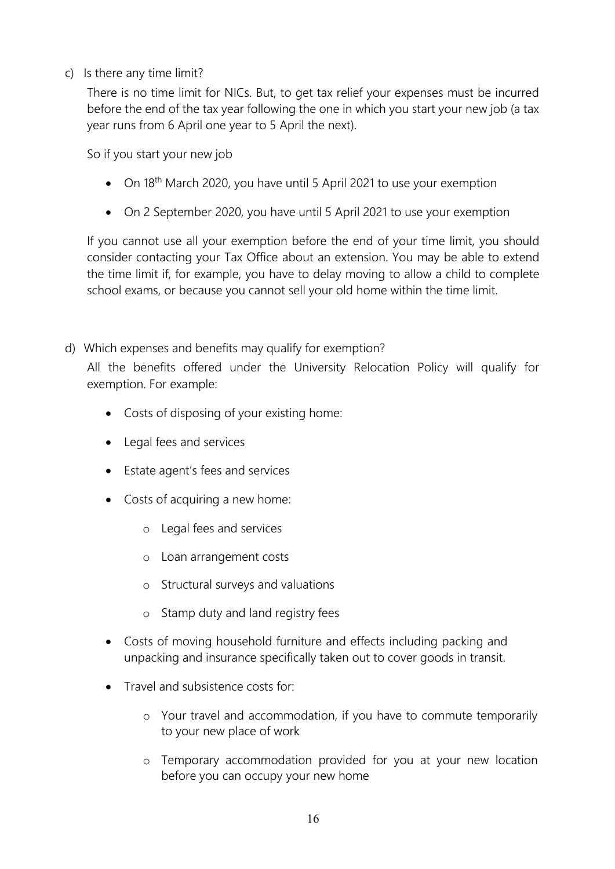c) Is there any time limit?

There is no time limit for NICs. But, to get tax relief your expenses must be incurred before the end of the tax year following the one in which you start your new job (a tax year runs from 6 April one year to 5 April the next).

So if you start your new job

- On 18<sup>th</sup> March 2020, you have until 5 April 2021 to use your exemption
- On 2 September 2020, you have until 5 April 2021 to use your exemption

If you cannot use all your exemption before the end of your time limit, you should consider contacting your Tax Office about an extension. You may be able to extend the time limit if, for example, you have to delay moving to allow a child to complete school exams, or because you cannot sell your old home within the time limit.

d) Which expenses and benefits may qualify for exemption?

All the benefits offered under the University Relocation Policy will qualify for exemption. For example:

- Costs of disposing of your existing home:
- Legal fees and services
- Estate agent's fees and services
- Costs of acquiring a new home:
	- o Legal fees and services
	- o Loan arrangement costs
	- o Structural surveys and valuations
	- o Stamp duty and land registry fees
- Costs of moving household furniture and effects including packing and unpacking and insurance specifically taken out to cover goods in transit.
- Travel and subsistence costs for:
	- o Your travel and accommodation, if you have to commute temporarily to your new place of work
	- o Temporary accommodation provided for you at your new location before you can occupy your new home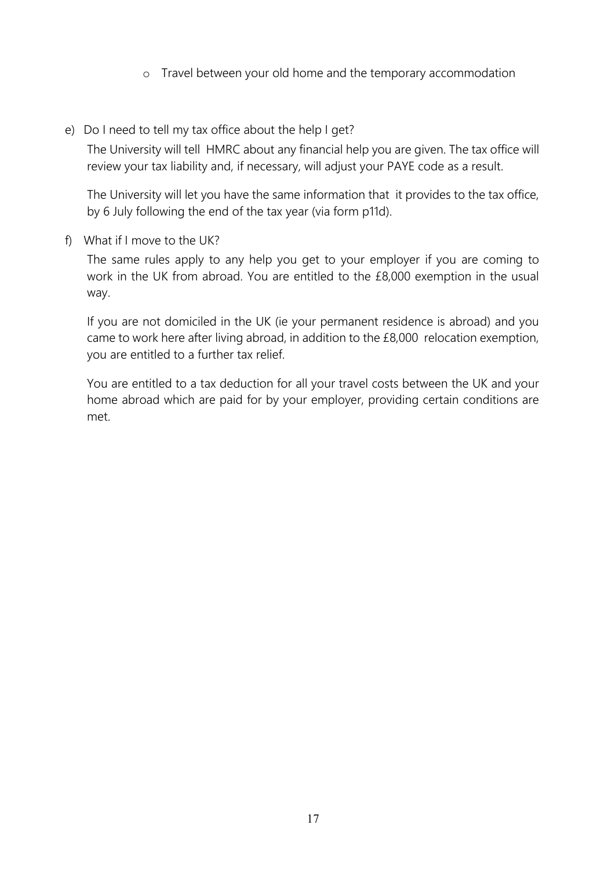- o Travel between your old home and the temporary accommodation
- e) Do I need to tell my tax office about the help I get?

The University will tell HMRC about any financial help you are given. The tax office will review your tax liability and, if necessary, will adjust your PAYE code as a result.

The University will let you have the same information that it provides to the tax office, by 6 July following the end of the tax year (via form p11d).

f) What if I move to the UK?

The same rules apply to any help you get to your employer if you are coming to work in the UK from abroad. You are entitled to the £8,000 exemption in the usual way.

If you are not domiciled in the UK (ie your permanent residence is abroad) and you came to work here after living abroad, in addition to the £8,000 relocation exemption, you are entitled to a further tax relief.

You are entitled to a tax deduction for all your travel costs between the UK and your home abroad which are paid for by your employer, providing certain conditions are met.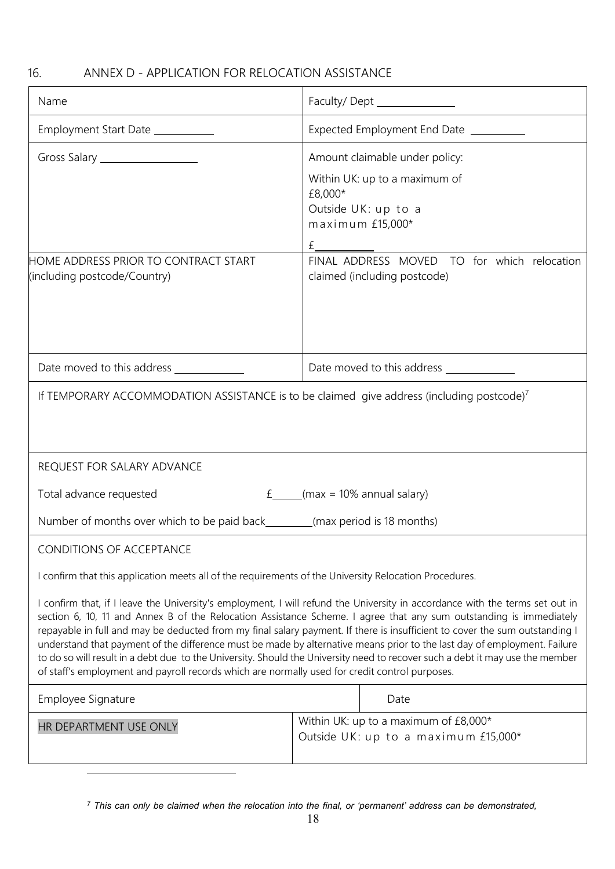## <span id="page-17-0"></span>16. ANNEX D - APPLICATION FOR RELOCATION ASSISTANCE

| Name                                                                                                                                                                                                                                                                                                                                                                                                                                                                                                                                                                                                                                                                                                                                                                                 | Faculty/Dept ______________                                                                                                |  |  |
|--------------------------------------------------------------------------------------------------------------------------------------------------------------------------------------------------------------------------------------------------------------------------------------------------------------------------------------------------------------------------------------------------------------------------------------------------------------------------------------------------------------------------------------------------------------------------------------------------------------------------------------------------------------------------------------------------------------------------------------------------------------------------------------|----------------------------------------------------------------------------------------------------------------------------|--|--|
| Employment Start Date __________                                                                                                                                                                                                                                                                                                                                                                                                                                                                                                                                                                                                                                                                                                                                                     | Expected Employment End Date _________                                                                                     |  |  |
| Gross Salary __________________                                                                                                                                                                                                                                                                                                                                                                                                                                                                                                                                                                                                                                                                                                                                                      | Amount claimable under policy:<br>Within UK: up to a maximum of<br>£8,000*<br>Outside UK: up to a<br>maximum £15,000*<br>£ |  |  |
| HOME ADDRESS PRIOR TO CONTRACT START<br>(including postcode/Country)                                                                                                                                                                                                                                                                                                                                                                                                                                                                                                                                                                                                                                                                                                                 | FINAL ADDRESS MOVED TO for which relocation<br>claimed (including postcode)                                                |  |  |
| Date moved to this address _____________                                                                                                                                                                                                                                                                                                                                                                                                                                                                                                                                                                                                                                                                                                                                             |                                                                                                                            |  |  |
| If TEMPORARY ACCOMMODATION ASSISTANCE is to be claimed give address (including postcode) <sup>7</sup>                                                                                                                                                                                                                                                                                                                                                                                                                                                                                                                                                                                                                                                                                |                                                                                                                            |  |  |
| REQUEST FOR SALARY ADVANCE                                                                                                                                                                                                                                                                                                                                                                                                                                                                                                                                                                                                                                                                                                                                                           |                                                                                                                            |  |  |
| Total advance requested<br>$f$ (max = 10% annual salary)                                                                                                                                                                                                                                                                                                                                                                                                                                                                                                                                                                                                                                                                                                                             |                                                                                                                            |  |  |
| Number of months over which to be paid back________(max period is 18 months)                                                                                                                                                                                                                                                                                                                                                                                                                                                                                                                                                                                                                                                                                                         |                                                                                                                            |  |  |
| CONDITIONS OF ACCEPTANCE<br>I confirm that this application meets all of the requirements of the University Relocation Procedures.<br>I confirm that, if I leave the University's employment, I will refund the University in accordance with the terms set out in<br>section 6, 10, 11 and Annex B of the Relocation Assistance Scheme. I agree that any sum outstanding is immediately<br>repayable in full and may be deducted from my final salary payment. If there is insufficient to cover the sum outstanding I<br>understand that payment of the difference must be made by alternative means prior to the last day of employment. Failure<br>to do so will result in a debt due to the University. Should the University need to recover such a debt it may use the member |                                                                                                                            |  |  |
| of staff's employment and payroll records which are normally used for credit control purposes.                                                                                                                                                                                                                                                                                                                                                                                                                                                                                                                                                                                                                                                                                       |                                                                                                                            |  |  |
| Employee Signature                                                                                                                                                                                                                                                                                                                                                                                                                                                                                                                                                                                                                                                                                                                                                                   | Date                                                                                                                       |  |  |
| HR DEPARTMENT USE ONLY                                                                                                                                                                                                                                                                                                                                                                                                                                                                                                                                                                                                                                                                                                                                                               | Within UK: up to a maximum of $£8,000*$<br>Outside UK: up to a maximum £15,000*                                            |  |  |

<sup>7</sup> This can only be claimed when the relocation into the final, or 'permanent' address can be demonstrated,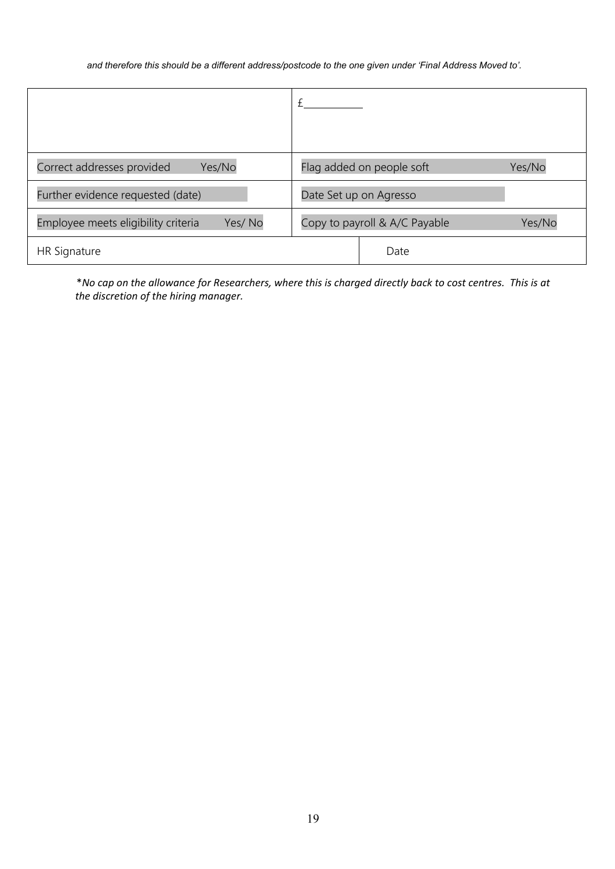*and therefore this should be a different address/postcode to the one given under 'Final Address Moved to'.*

| Correct addresses provided<br>Yes/No          | Flag added on people soft<br>Yes/No     |  |
|-----------------------------------------------|-----------------------------------------|--|
| Further evidence requested (date)             | Date Set up on Agresso                  |  |
| Yes/No<br>Employee meets eligibility criteria | Copy to payroll & A/C Payable<br>Yes/No |  |
| <b>HR Signature</b>                           | Date                                    |  |

\**No cap on the allowance for Researchers, where this is charged directly back to cost centres. This is at the discretion of the hiring manager.*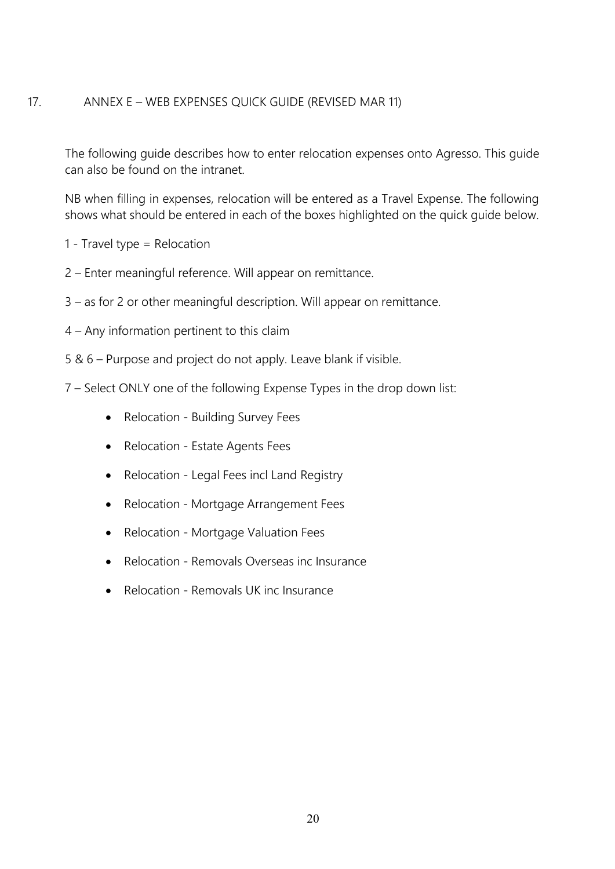## <span id="page-19-0"></span>17. ANNEX E – WEB EXPENSES QUICK GUIDE (REVISED MAR 11)

The following guide describes how to enter relocation expenses onto Agresso. This guide can also be found on the intranet.

NB when filling in expenses, relocation will be entered as a Travel Expense. The following shows what should be entered in each of the boxes highlighted on the quick guide below.

- 1 Travel type = Relocation
- 2 Enter meaningful reference. Will appear on remittance.
- 3 as for 2 or other meaningful description. Will appear on remittance.
- 4 Any information pertinent to this claim
- 5 & 6 Purpose and project do not apply. Leave blank if visible.
- 7 Select ONLY one of the following Expense Types in the drop down list:
	- Relocation Building Survey Fees
	- Relocation Estate Agents Fees
	- Relocation Legal Fees incl Land Registry
	- Relocation Mortgage Arrangement Fees
	- Relocation Mortgage Valuation Fees
	- Relocation Removals Overseas inc Insurance
	- Relocation Removals UK inc Insurance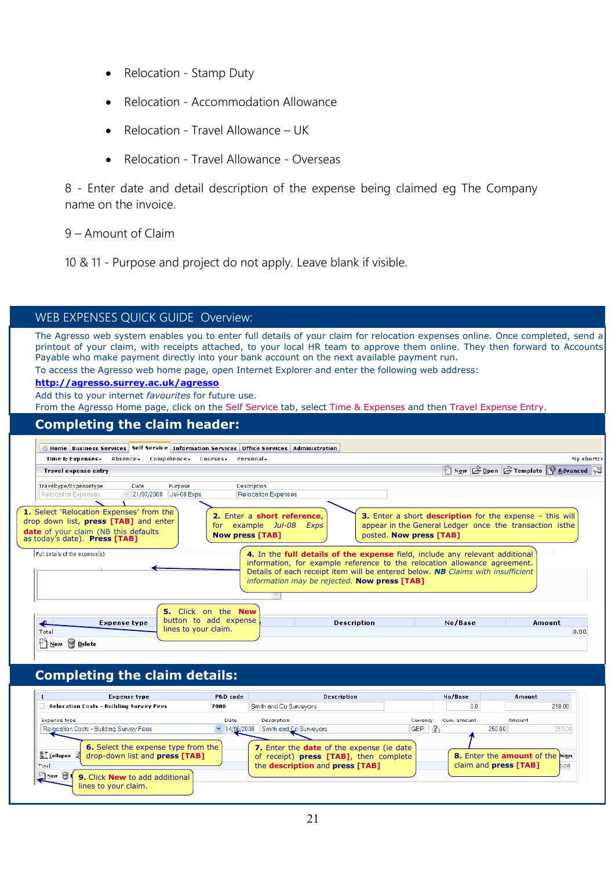- Relocation Stamp Duty
- Relocation Accommodation Allowance
- Relocation Travel Allowance UK
- Relocation Travel Allowance Overseas

8 - Enter date and detail description of the expense being claimed eg The Company name on the invoice.

- 9 Amount of Claim
- 10 & 11 Purpose and project do not apply. Leave blank if visible.

| WEB EXPENSES QUICK GUIDE Overview:                                                                                                                                                                                                                                                                                                                                                                                                                                                                                                                                    |                                                |  |  |
|-----------------------------------------------------------------------------------------------------------------------------------------------------------------------------------------------------------------------------------------------------------------------------------------------------------------------------------------------------------------------------------------------------------------------------------------------------------------------------------------------------------------------------------------------------------------------|------------------------------------------------|--|--|
| The Agresso web system enables you to enter full details of your claim for relocation expenses online. Once completed, send a<br>printout of your claim, with receipts attached, to your local HR team to approve them online. They then forward to Accounts<br>Payable who make payment directly into your bank account on the next available payment run.<br>To access the Agresso web home page, open Internet Explorer and enter the following web address:<br>http://agresso.surrey.ac.uk/agresso<br>Add this to your internet <i>favourites</i> for future use. |                                                |  |  |
| From the Agresso Home page, click on the Self Service tab, select Time & Expenses and then Travel Expense Entry.                                                                                                                                                                                                                                                                                                                                                                                                                                                      |                                                |  |  |
| <b>Completing the claim header:</b>                                                                                                                                                                                                                                                                                                                                                                                                                                                                                                                                   |                                                |  |  |
|                                                                                                                                                                                                                                                                                                                                                                                                                                                                                                                                                                       |                                                |  |  |
| <b>A Home Business Services Self Service Information Services Office Services Administration</b>                                                                                                                                                                                                                                                                                                                                                                                                                                                                      |                                                |  |  |
| Time & Expenses Masence Competence Courses Personal<br><b>Travel expense entry</b>                                                                                                                                                                                                                                                                                                                                                                                                                                                                                    | My shortcu<br>New E Open E Template Q Advanced |  |  |
|                                                                                                                                                                                                                                                                                                                                                                                                                                                                                                                                                                       |                                                |  |  |
|                                                                                                                                                                                                                                                                                                                                                                                                                                                                                                                                                                       |                                                |  |  |
| Traveltype/Expensetype<br>Description<br>Date<br>Purpose                                                                                                                                                                                                                                                                                                                                                                                                                                                                                                              |                                                |  |  |
| 21/07/2008 Jul-08 Exps<br>Relocation Expenses<br>Relocation Expenses                                                                                                                                                                                                                                                                                                                                                                                                                                                                                                  |                                                |  |  |
| 1. Select 'Relocation Expenses' from the<br>3. Enter a short description for the expense - this will<br>2. Enter a short reference.<br>drop down list, <b>press</b> [TAB] and enter<br>appear in the General Ledger once the transaction isthe<br>for example Jul-08 Exps<br><b>date</b> of your claim (NB this defaults<br>posted. Now press [TAB]<br><b>Now press [TAB]</b><br>as today's date). Press [TAB]                                                                                                                                                        |                                                |  |  |
| Full details of the expense(s)<br>4. In the full details of the expense field, include any relevant additional<br>information, for example reference to the relocation allowance agreement.<br>Details of each receipt item will be entered below. NB Claims with insufficient<br>information may be rejected. Now press [TAB]                                                                                                                                                                                                                                        |                                                |  |  |
|                                                                                                                                                                                                                                                                                                                                                                                                                                                                                                                                                                       |                                                |  |  |
| 5. Click on the New                                                                                                                                                                                                                                                                                                                                                                                                                                                                                                                                                   |                                                |  |  |
| button to add expense<br><b>Description</b><br>No/Base<br><b>Expense type</b>                                                                                                                                                                                                                                                                                                                                                                                                                                                                                         | Amount                                         |  |  |
| lines to your claim.<br>Total<br><b>Pr</b> Delete<br>1 New                                                                                                                                                                                                                                                                                                                                                                                                                                                                                                            | 0.00                                           |  |  |

## **Completing the claim details:**